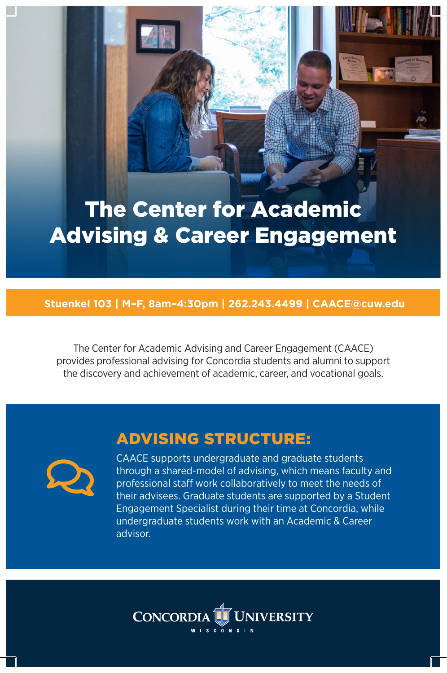# The Center for Academic Advising & Career Engagement

#### **Stuenkel 103 | M–F, 8am–4:30pm | 262.243.4499 | CAACE@cuw.edu**

The Center for Academic Advising and Career Engagement (CAACE) provides professional advising for Concordia students and alumni to support the discovery and achievement of academic, career, and vocational goals.

### ADVISING STRUCTURE:



CAACE supports undergraduate and graduate students through a shared-model of advising, which means faculty and professional staff work collaboratively to meet the needs of their advisees. Graduate students are supported by a Student Engagement Specialist during their time at Concordia, while undergraduate students work with an Academic & Career advisor.